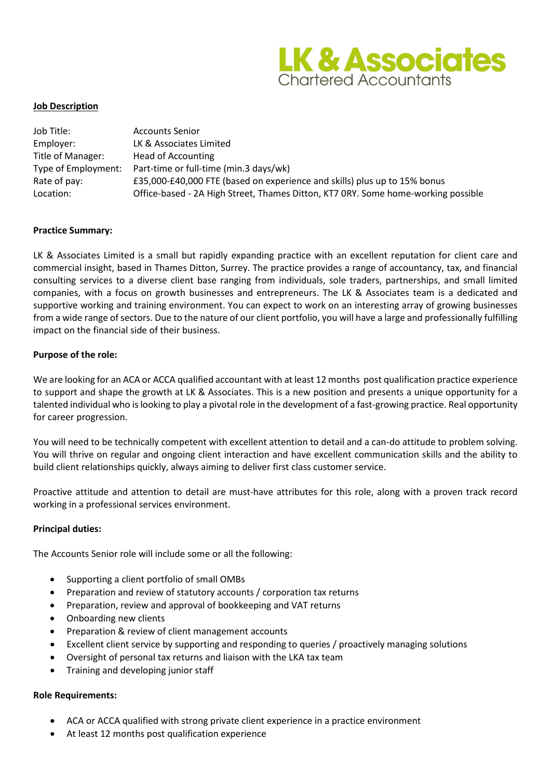

# **Job Description**

| Job Title:          | <b>Accounts Senior</b>                                                            |
|---------------------|-----------------------------------------------------------------------------------|
| Employer:           | LK & Associates Limited                                                           |
| Title of Manager:   | <b>Head of Accounting</b>                                                         |
| Type of Employment: | Part-time or full-time (min.3 days/wk)                                            |
| Rate of pay:        | £35,000-£40,000 FTE (based on experience and skills) plus up to 15% bonus         |
| Location:           | Office-based - 2A High Street, Thames Ditton, KT7 0RY. Some home-working possible |

# **Practice Summary:**

LK & Associates Limited is a small but rapidly expanding practice with an excellent reputation for client care and commercial insight, based in Thames Ditton, Surrey. The practice provides a range of accountancy, tax, and financial consulting services to a diverse client base ranging from individuals, sole traders, partnerships, and small limited companies, with a focus on growth businesses and entrepreneurs. The LK & Associates team is a dedicated and supportive working and training environment. You can expect to work on an interesting array of growing businesses from a wide range of sectors. Due to the nature of our client portfolio, you will have a large and professionally fulfilling impact on the financial side of their business.

# **Purpose of the role:**

We are looking for an ACA or ACCA qualified accountant with at least 12 months post qualification practice experience to support and shape the growth at LK & Associates. This is a new position and presents a unique opportunity for a talented individual who is looking to play a pivotal role in the development of a fast-growing practice. Real opportunity for career progression.

You will need to be technically competent with excellent attention to detail and a can-do attitude to problem solving. You will thrive on regular and ongoing client interaction and have excellent communication skills and the ability to build client relationships quickly, always aiming to deliver first class customer service.

Proactive attitude and attention to detail are must-have attributes for this role, along with a proven track record working in a professional services environment.

## **Principal duties:**

The Accounts Senior role will include some or all the following:

- Supporting a client portfolio of small OMBs
- Preparation and review of statutory accounts / corporation tax returns
- Preparation, review and approval of bookkeeping and VAT returns
- Onboarding new clients
- Preparation & review of client management accounts
- Excellent client service by supporting and responding to queries / proactively managing solutions
- Oversight of personal tax returns and liaison with the LKA tax team
- Training and developing junior staff

## **Role Requirements:**

- ACA or ACCA qualified with strong private client experience in a practice environment
- At least 12 months post qualification experience